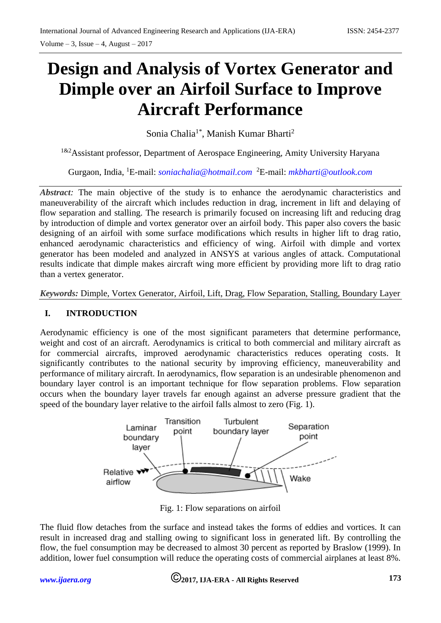# **Design and Analysis of Vortex Generator and Dimple over an Airfoil Surface to Improve Aircraft Performance**

Sonia Chalia<sup>1\*</sup>, Manish Kumar Bharti<sup>2</sup>

<sup>1&2</sup>Assistant professor, Department of Aerospace Engineering, Amity University Haryana

Gurgaon, India, <sup>1</sup>E-mail: *[soniachalia@hotmail.com](mailto:soniachalia@hotmail.com)* <sup>2</sup>E-mail: *[mkbharti@outlook.com](mailto:mkbharti@outlook.com)*

*Abstract:* The main objective of the study is to enhance the aerodynamic characteristics and maneuverability of the aircraft which includes reduction in drag, increment in lift and delaying of flow separation and stalling. The research is primarily focused on increasing lift and reducing drag by introduction of dimple and vortex generator over an airfoil body. This paper also covers the basic designing of an airfoil with some surface modifications which results in higher lift to drag ratio, enhanced aerodynamic characteristics and efficiency of wing. Airfoil with dimple and vortex generator has been modeled and analyzed in ANSYS at various angles of attack. Computational results indicate that dimple makes aircraft wing more efficient by providing more lift to drag ratio than a vertex generator.

*Keywords:* Dimple, Vortex Generator, Airfoil, Lift, Drag, Flow Separation, Stalling, Boundary Layer

## **I. INTRODUCTION**

Aerodynamic efficiency is one of the most significant parameters that determine performance, weight and cost of an aircraft. Aerodynamics is critical to both commercial and military aircraft as for commercial aircrafts, improved aerodynamic characteristics reduces operating costs. It significantly contributes to the national security by improving efficiency, maneuverability and performance of military aircraft. In aerodynamics, flow separation is an undesirable phenomenon and boundary layer control is an important technique for flow separation problems. Flow separation occurs when the boundary layer travels far enough against an adverse pressure gradient that the speed of the boundary layer relative to the airfoil falls almost to zero (Fig. 1).



Fig. 1: Flow separations on airfoil

The fluid flow detaches from the surface and instead takes the forms of eddies and vortices. It can result in increased drag and stalling owing to significant loss in generated lift. By controlling the flow, the fuel consumption may be decreased to almost 30 percent as reported by Braslow (1999). In addition, lower fuel consumption will reduce the operating costs of commercial airplanes at least 8%.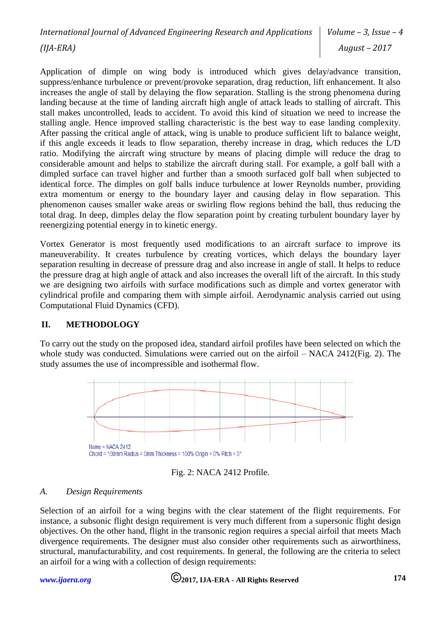Application of dimple on wing body is introduced which gives delay/advance transition, suppress/enhance turbulence or prevent/provoke separation, drag reduction, lift enhancement. It also increases the angle of stall by delaying the flow separation. Stalling is the strong phenomena during landing because at the time of landing aircraft high angle of attack leads to stalling of aircraft. This stall makes uncontrolled, leads to accident. To avoid this kind of situation we need to increase the stalling angle. Hence improved stalling characteristic is the best way to ease landing complexity. After passing the critical angle of attack, wing is unable to produce sufficient lift to balance weight, if this angle exceeds it leads to flow separation, thereby increase in drag, which reduces the L/D ratio. Modifying the aircraft wing structure by means of placing dimple will reduce the drag to considerable amount and helps to stabilize the aircraft during stall. For example, a golf ball with a dimpled surface can travel higher and further than a smooth surfaced golf ball when subjected to identical force. The dimples on golf balls induce turbulence at lower Reynolds number, providing extra momentum or energy to the boundary layer and causing delay in flow separation. This phenomenon causes smaller wake areas or swirling flow regions behind the ball, thus reducing the total drag. In deep, dimples delay the flow separation point by creating turbulent boundary layer by reenergizing potential energy in to kinetic energy.

Vortex Generator is most frequently used modifications to an aircraft surface to improve its maneuverability. It creates turbulence by creating vortices, which delays the boundary layer separation resulting in decrease of pressure drag and also increase in angle of stall. It helps to reduce the pressure drag at high angle of attack and also increases the overall lift of the aircraft. In this study we are designing two airfoils with surface modifications such as dimple and vortex generator with cylindrical profile and comparing them with simple airfoil. Aerodynamic analysis carried out using Computational Fluid Dynamics (CFD).

## **II. METHODOLOGY**

To carry out the study on the proposed idea, standard airfoil profiles have been selected on which the whole study was conducted. Simulations were carried out on the airfoil – NACA 2412(Fig. 2). The study assumes the use of incompressible and isothermal flow.





#### *A. Design Requirements*

Selection of an airfoil for a wing begins with the clear statement of the flight requirements. For instance, a subsonic flight design requirement is very much different from a supersonic flight design objectives. On the other hand, flight in the transonic region requires a special airfoil that meets Mach divergence requirements. The designer must also consider other requirements such as airworthiness, structural, manufacturability, and cost requirements. In general, the following are the criteria to select an airfoil for a wing with a collection of design requirements:

# *[www.ijaera.org](http://www.ijaera.org/)* **2017, IJA-ERA - All Rights Reserved 174**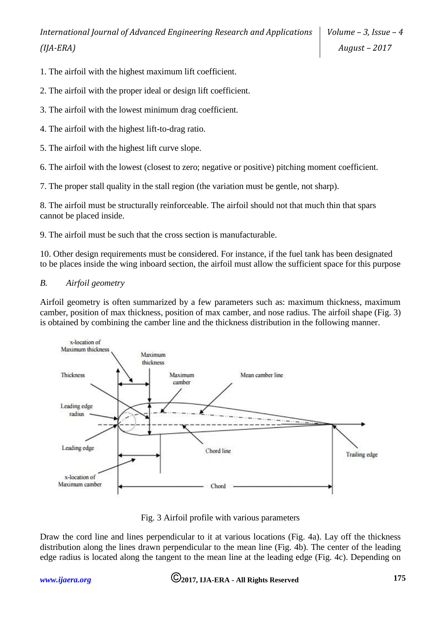- 1. The airfoil with the highest maximum lift coefficient.
- 2. The airfoil with the proper ideal or design lift coefficient.
- 3. The airfoil with the lowest minimum drag coefficient.
- 4. The airfoil with the highest lift-to-drag ratio.
- 5. The airfoil with the highest lift curve slope.
- 6. The airfoil with the lowest (closest to zero; negative or positive) pitching moment coefficient.
- 7. The proper stall quality in the stall region (the variation must be gentle, not sharp).

8. The airfoil must be structurally reinforceable. The airfoil should not that much thin that spars cannot be placed inside.

9. The airfoil must be such that the cross section is manufacturable.

10. Other design requirements must be considered. For instance, if the fuel tank has been designated to be places inside the wing inboard section, the airfoil must allow the sufficient space for this purpose

## *B. Airfoil geometry*

Airfoil geometry is often summarized by a few parameters such as: maximum thickness, maximum camber, position of max thickness, position of max camber, and nose radius. The airfoil shape (Fig. 3) is obtained by combining the camber line and the thickness distribution in the following manner.



Fig. 3 Airfoil profile with various parameters

Draw the cord line and lines perpendicular to it at various locations (Fig. 4a). Lay off the thickness distribution along the lines drawn perpendicular to the mean line (Fig. 4b). The center of the leading edge radius is located along the tangent to the mean line at the leading edge (Fig. 4c). Depending on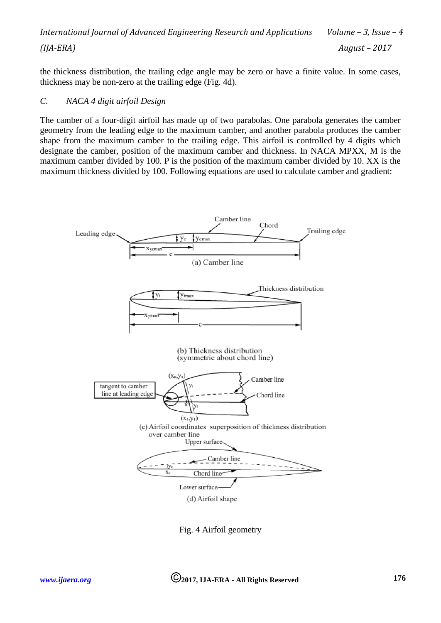the thickness distribution, the trailing edge angle may be zero or have a finite value. In some cases, thickness may be non-zero at the trailing edge (Fig. 4d).

### *C. NACA 4 digit airfoil Design*

The camber of a four-digit airfoil has made up of two parabolas. One parabola generates the camber geometry from the leading edge to the maximum camber, and another parabola produces the camber shape from the maximum camber to the trailing edge. This airfoil is controlled by 4 digits which designate the camber, position of the maximum camber and thickness. In NACA MPXX, M is the maximum camber divided by 100. P is the position of the maximum camber divided by 10. XX is the maximum thickness divided by 100. Following equations are used to calculate camber and gradient:



Fig. 4 Airfoil geometry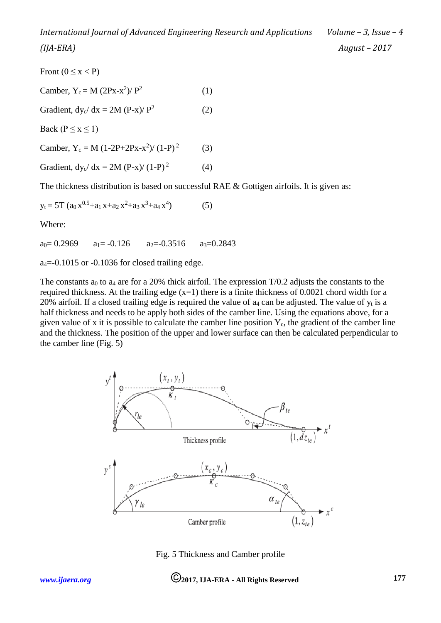Front ( $0 \le x < P$ ) Camber,  $Y_c = M (2Px-x^2)/P^2$ (1) Gradient,  $dy_c/dx = 2M (P-x)/P^2$ (2) Back ( $P \le x \le 1$ ) Camber,  $Y_c = M (1-2P+2Px-x^2)/(1-P)^2$ (3) Gradient,  $dy_c/dx = 2M (P-x)/(1-P)^2$ (4) The thickness distribution is based on successful RAE & Gottigen airfoils. It is given as:

$$
y_t = 5T (a_0 x^{0.5} + a_1 x + a_2 x^2 + a_3 x^3 + a_4 x^4)
$$
 (5)

Where:

 $a_0 = 0.2969$   $a_1 = -0.126$   $a_2 = -0.3516$   $a_3 = 0.2843$ 

 $a_4 = -0.1015$  or  $-0.1036$  for closed trailing edge.

The constants  $a_0$  to  $a_4$  are for a 20% thick airfoil. The expression T/0.2 adjusts the constants to the required thickness. At the trailing edge  $(x=1)$  there is a finite thickness of 0.0021 chord width for a 20% airfoil. If a closed trailing edge is required the value of  $a_4$  can be adjusted. The value of  $y_t$  is a half thickness and needs to be apply both sides of the camber line. Using the equations above, for a given value of x it is possible to calculate the camber line position  $Y_c$ , the gradient of the camber line and the thickness. The position of the upper and lower surface can then be calculated perpendicular to the camber line (Fig. 5)



Fig. 5 Thickness and Camber profile

# *[www.ijaera.org](http://www.ijaera.org/)* **2017, IJA-ERA - All Rights Reserved 177**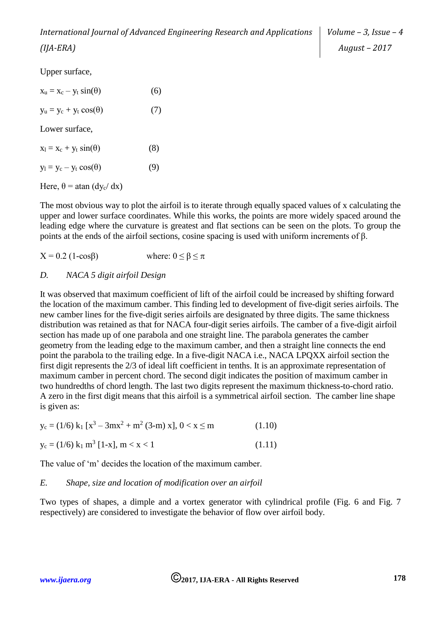Upper surface,

| $x_u = x_c - y_t \sin(\theta)$               | (6) |
|----------------------------------------------|-----|
| $y_u = y_c + y_t \cos(\theta)$               | (7) |
| Lower surface,                               |     |
| $x_1 = x_c + y_t \sin(\theta)$               | (8) |
| $y_1 = y_c - y_t \cos(\theta)$               | (9) |
| Here, $\theta$ = atan (dy <sub>c</sub> / dx) |     |
|                                              |     |

The most obvious way to plot the airfoil is to iterate through equally spaced values of x calculating the upper and lower surface coordinates. While this works, the points are more widely spaced around the leading edge where the curvature is greatest and flat sections can be seen on the plots. To group the points at the ends of the airfoil sections, cosine spacing is used with uniform increments of β.

 $X = 0.2$  (1-cos<sub>B</sub>) where:  $0 \leq \beta \leq \pi$ 

### *D. NACA 5 digit airfoil Design*

It was observed that maximum coefficient of lift of the airfoil could be increased by shifting forward the location of the maximum camber. This finding led to development of five-digit series airfoils. The new camber lines for the five-digit series airfoils are designated by three digits. The same thickness distribution was retained as that for NACA four-digit series airfoils. The camber of a five-digit airfoil section has made up of one parabola and one straight line. The parabola generates the camber geometry from the leading edge to the maximum camber, and then a straight line connects the end point the parabola to the trailing edge. In a five-digit NACA i.e., NACA LPQXX airfoil section the first digit represents the 2/3 of ideal lift coefficient in tenths. It is an approximate representation of maximum camber in percent chord. The second digit indicates the position of maximum camber in two hundredths of chord length. The last two digits represent the maximum thickness-to-chord ratio. A zero in the first digit means that this airfoil is a symmetrical airfoil section. The camber line shape is given as:

$$
y_c = (1/6) k_1 [x^3 - 3mx^2 + m^2 (3-m) x], 0 < x \le m
$$
 (1.10)

$$
y_c = (1/6) k_1 m^3 [1-x], m < x < 1
$$
 (1.11)

The value of 'm' decides the location of the maximum camber.

## *E. Shape, size and location of modification over an airfoil*

Two types of shapes, a dimple and a vortex generator with cylindrical profile (Fig. 6 and Fig. 7 respectively) are considered to investigate the behavior of flow over airfoil body.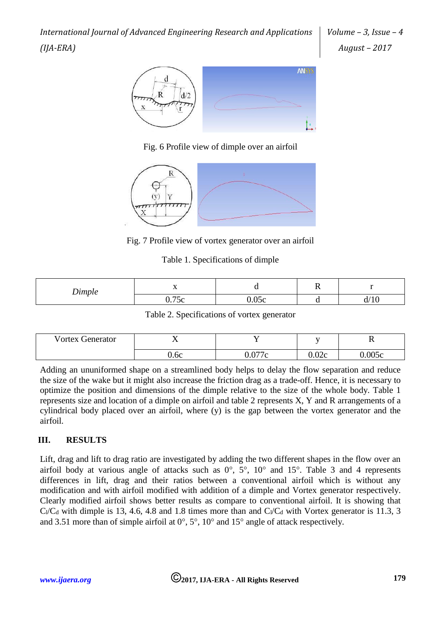*Volume – 3, Issue – 4 August – 2017*



Fig. 6 Profile view of dimple over an airfoil



Fig. 7 Profile view of vortex generator over an airfoil

### Table 1. Specifications of dimple

| Dimple                   | ÷<br>$\overline{\phantom{a}}$ | ີ     | $\sim$ | -           |  |
|--------------------------|-------------------------------|-------|--------|-------------|--|
| $\overline{\phantom{a}}$ | $\overline{a}$<br>0.75c       | 0.05c |        | 110<br>U/1U |  |

Table 2. Specifications of vortex generator

| <b>Vortex Generator</b> | <b>. .</b><br>$\overline{ }$ |        |       | TZ.    |
|-------------------------|------------------------------|--------|-------|--------|
|                         | 0.6с                         | 0.077c | 0.02c | 0.005c |

Adding an ununiformed shape on a streamlined body helps to delay the flow separation and reduce the size of the wake but it might also increase the friction drag as a trade-off. Hence, it is necessary to optimize the position and dimensions of the dimple relative to the size of the whole body. Table 1 represents size and location of a dimple on airfoil and table 2 represents X, Y and R arrangements of a cylindrical body placed over an airfoil, where (y) is the gap between the vortex generator and the airfoil.

# **III. RESULTS**

Lift, drag and lift to drag ratio are investigated by adding the two different shapes in the flow over an airfoil body at various angle of attacks such as  $0^\circ$ ,  $5^\circ$ ,  $10^\circ$  and  $15^\circ$ . Table 3 and 4 represents differences in lift, drag and their ratios between a conventional airfoil which is without any modification and with airfoil modified with addition of a dimple and Vortex generator respectively. Clearly modified airfoil shows better results as compare to conventional airfoil. It is showing that  $C/C_d$  with dimple is 13, 4.6, 4.8 and 1.8 times more than and  $C/C_d$  with Vortex generator is 11.3, 3 and 3.51 more than of simple airfoil at  $0^\circ$ ,  $5^\circ$ ,  $10^\circ$  and  $15^\circ$  angle of attack respectively.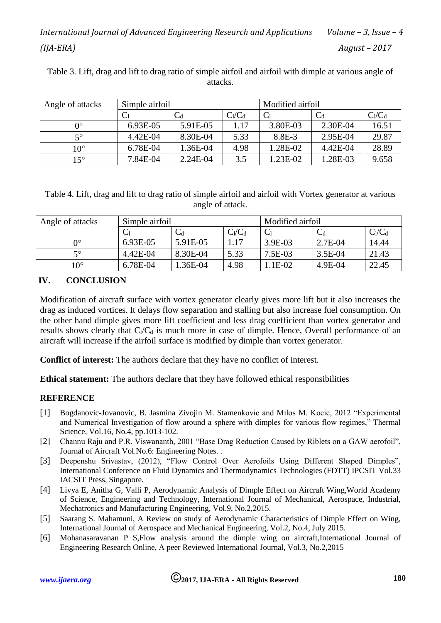| Table 3. Lift, drag and lift to drag ratio of simple airfoil and airfoil with dimple at various angle of |          |  |
|----------------------------------------------------------------------------------------------------------|----------|--|
|                                                                                                          | attacks. |  |

| Angle of attacks | Simple airfoil |                |           | Modified airfoil |            |           |
|------------------|----------------|----------------|-----------|------------------|------------|-----------|
|                  |                | $\mathrm{C_d}$ | $C_1/C_d$ |                  |            | $C_1/C_d$ |
| 0°               | 6.93E-05       | 5.91E-05       | 1.17      | 3.80E-03         | 2.30E-04   | 16.51     |
| 50               | 4.42E-04       | 8.30E-04       | 5.33      | 8.8E-3           | 2.95E-04   | 29.87     |
| $10^{\circ}$     | 6.78E-04       | 1.36E-04       | 4.98      | 1.28E-02         | $4.42E-04$ | 28.89     |
| $15^{\circ}$     | 7.84E-04       | $2.24E-04$     | 3.5       | 1.23E-02         | 1.28E-03   | 9.658     |

Table 4. Lift, drag and lift to drag ratio of simple airfoil and airfoil with Vortex generator at various angle of attack.

| Angle of attacks | Simple airfoil |          |           | Modified airfoil |                         |           |
|------------------|----------------|----------|-----------|------------------|-------------------------|-----------|
|                  |                | ◡₫       | $C_1/C_d$ |                  | $\mathrm{C}_\mathrm{d}$ | $C_1/C_d$ |
| O°               | 6.93E-05       | 5.91E-05 | 1.17      | 3.9E-03          | $2.7E-04$               | 14.44     |
| 50               | 4.42E-04       | 8.30E-04 | 5.33      | 7.5E-03          | $3.5E-04$               | 21.43     |
| $10^{\circ}$     | 6.78E-04       | .36E-04  | 4.98      | $E$ -02          | 4.9E-04                 | 22.45     |

# **IV. CONCLUSION**

Modification of aircraft surface with vortex generator clearly gives more lift but it also increases the drag as induced vortices. It delays flow separation and stalling but also increase fuel consumption. On the other hand dimple gives more lift coefficient and less drag coefficient than vortex generator and results shows clearly that  $C/C_d$  is much more in case of dimple. Hence, Overall performance of an aircraft will increase if the airfoil surface is modified by dimple than vortex generator.

**Conflict of interest:** The authors declare that they have no conflict of interest.

**Ethical statement:** The authors declare that they have followed ethical responsibilities

## **REFERENCE**

- [1] Bogdanovic-Jovanovic, B. Jasmina Zivojin M. Stamenkovic and Milos M. Kocic, 2012 "Experimental and Numerical Investigation of flow around a sphere with dimples for various flow regimes," Thermal Science, Vol.16, No.4, pp.1013-102.
- [2] Channu Raju and P.R. Viswananth, 2001 "Base Drag Reduction Caused by Riblets on a GAW aerofoil", Journal of Aircraft Vol.No.6: Engineering Notes. .
- [3] Deepenshu Srivastav, (2012), "Flow Control Over Aerofoils Using Different Shaped Dimples", International Conference on Fluid Dynamics and Thermodynamics Technologies (FDTT) IPCSIT Vol.33 IACSIT Press, Singapore.
- [4] Livya E, Anitha G, Valli P, Aerodynamic Analysis of Dimple Effect on Aircraft Wing,World Academy of Science, Engineering and Technology, International Journal of Mechanical, Aerospace, Industrial, Mechatronics and Manufacturing Engineering, Vol.9, No.2,2015.
- [5] Saarang S. Mahamuni, A Review on study of Aerodynamic Characteristics of Dimple Effect on Wing, International Journal of Aerospace and Mechanical Engineering, Vol.2, No.4, July 2015.
- [6] Mohanasaravanan P S,Flow analysis around the dimple wing on aircraft,International Journal of Engineering Research Online, A peer Reviewed International Journal, Vol.3, No.2,2015